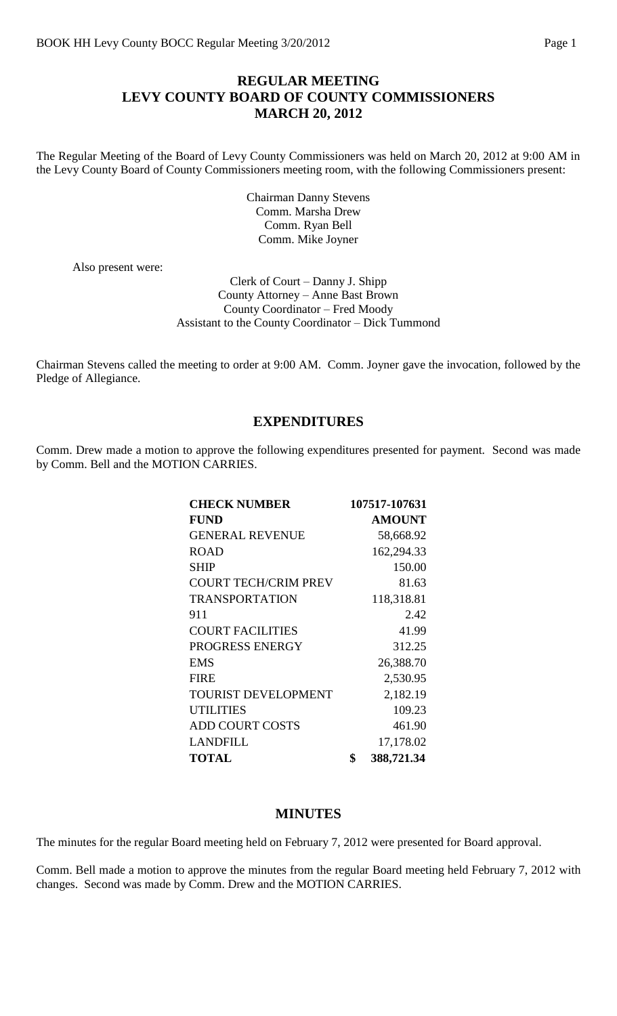## **REGULAR MEETING LEVY COUNTY BOARD OF COUNTY COMMISSIONERS MARCH 20, 2012**

The Regular Meeting of the Board of Levy County Commissioners was held on March 20, 2012 at 9:00 AM in the Levy County Board of County Commissioners meeting room, with the following Commissioners present:

> Chairman Danny Stevens Comm. Marsha Drew Comm. Ryan Bell Comm. Mike Joyner

Also present were:

Clerk of Court – Danny J. Shipp County Attorney – Anne Bast Brown County Coordinator – Fred Moody Assistant to the County Coordinator – Dick Tummond

Chairman Stevens called the meeting to order at 9:00 AM. Comm. Joyner gave the invocation, followed by the Pledge of Allegiance.

### **EXPENDITURES**

Comm. Drew made a motion to approve the following expenditures presented for payment. Second was made by Comm. Bell and the MOTION CARRIES.

| <b>CHECK NUMBER</b>         | 107517-107631    |
|-----------------------------|------------------|
| <b>FUND</b>                 | <b>AMOUNT</b>    |
| <b>GENERAL REVENUE</b>      | 58,668.92        |
| <b>ROAD</b>                 | 162,294.33       |
| <b>SHIP</b>                 | 150.00           |
| <b>COURT TECH/CRIM PREV</b> | 81.63            |
| <b>TRANSPORTATION</b>       | 118,318.81       |
| 911                         | 2.42             |
| <b>COURT FACILITIES</b>     | 41.99            |
| PROGRESS ENERGY             | 312.25           |
| <b>EMS</b>                  | 26,388.70        |
| <b>FIRE</b>                 | 2,530.95         |
| TOURIST DEVELOPMENT         | 2,182.19         |
| <b>UTILITIES</b>            | 109.23           |
| <b>ADD COURT COSTS</b>      | 461.90           |
| LANDFILL                    | 17,178.02        |
| <b>TOTAL</b>                | \$<br>388,721.34 |

### **MINUTES**

The minutes for the regular Board meeting held on February 7, 2012 were presented for Board approval.

Comm. Bell made a motion to approve the minutes from the regular Board meeting held February 7, 2012 with changes. Second was made by Comm. Drew and the MOTION CARRIES.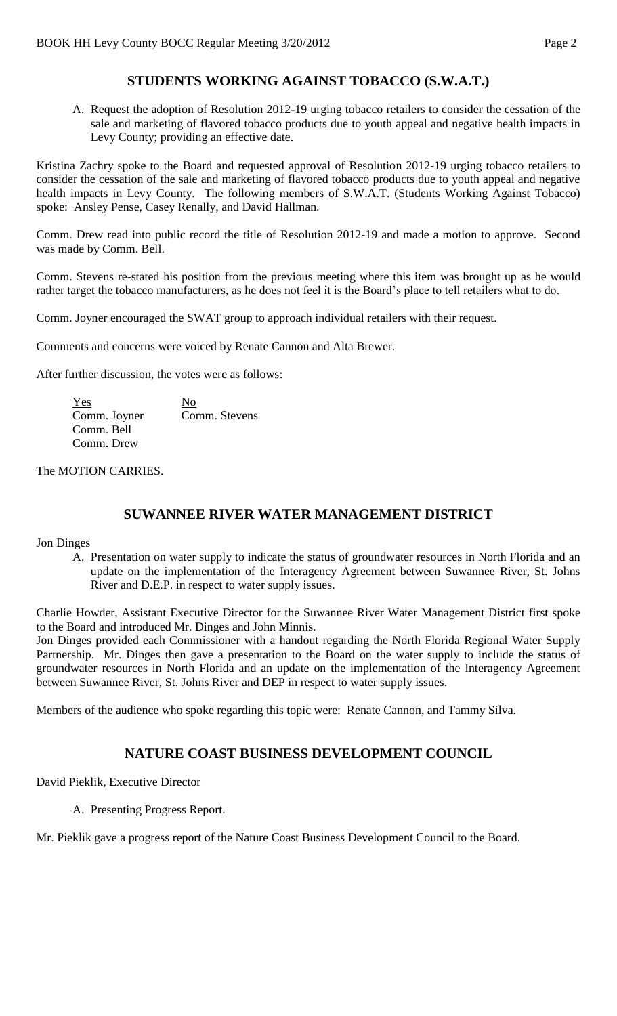# **STUDENTS WORKING AGAINST TOBACCO (S.W.A.T.)**

A. Request the adoption of Resolution 2012-19 urging tobacco retailers to consider the cessation of the sale and marketing of flavored tobacco products due to youth appeal and negative health impacts in Levy County; providing an effective date.

Kristina Zachry spoke to the Board and requested approval of Resolution 2012-19 urging tobacco retailers to consider the cessation of the sale and marketing of flavored tobacco products due to youth appeal and negative health impacts in Levy County. The following members of S.W.A.T. (Students Working Against Tobacco) spoke: Ansley Pense, Casey Renally, and David Hallman.

Comm. Drew read into public record the title of Resolution 2012-19 and made a motion to approve. Second was made by Comm. Bell.

Comm. Stevens re-stated his position from the previous meeting where this item was brought up as he would rather target the tobacco manufacturers, as he does not feel it is the Board's place to tell retailers what to do.

Comm. Joyner encouraged the SWAT group to approach individual retailers with their request.

Comments and concerns were voiced by Renate Cannon and Alta Brewer.

After further discussion, the votes were as follows:

Yes No Comm. Joyner Comm. Stevens Comm. Bell Comm. Drew

The MOTION CARRIES.

# **SUWANNEE RIVER WATER MANAGEMENT DISTRICT**

### Jon Dinges

A. Presentation on water supply to indicate the status of groundwater resources in North Florida and an update on the implementation of the Interagency Agreement between Suwannee River, St. Johns River and D.E.P. in respect to water supply issues.

Charlie Howder, Assistant Executive Director for the Suwannee River Water Management District first spoke to the Board and introduced Mr. Dinges and John Minnis.

Jon Dinges provided each Commissioner with a handout regarding the North Florida Regional Water Supply Partnership. Mr. Dinges then gave a presentation to the Board on the water supply to include the status of groundwater resources in North Florida and an update on the implementation of the Interagency Agreement between Suwannee River, St. Johns River and DEP in respect to water supply issues.

Members of the audience who spoke regarding this topic were: Renate Cannon, and Tammy Silva.

### **NATURE COAST BUSINESS DEVELOPMENT COUNCIL**

David Pieklik, Executive Director

A. Presenting Progress Report.

Mr. Pieklik gave a progress report of the Nature Coast Business Development Council to the Board.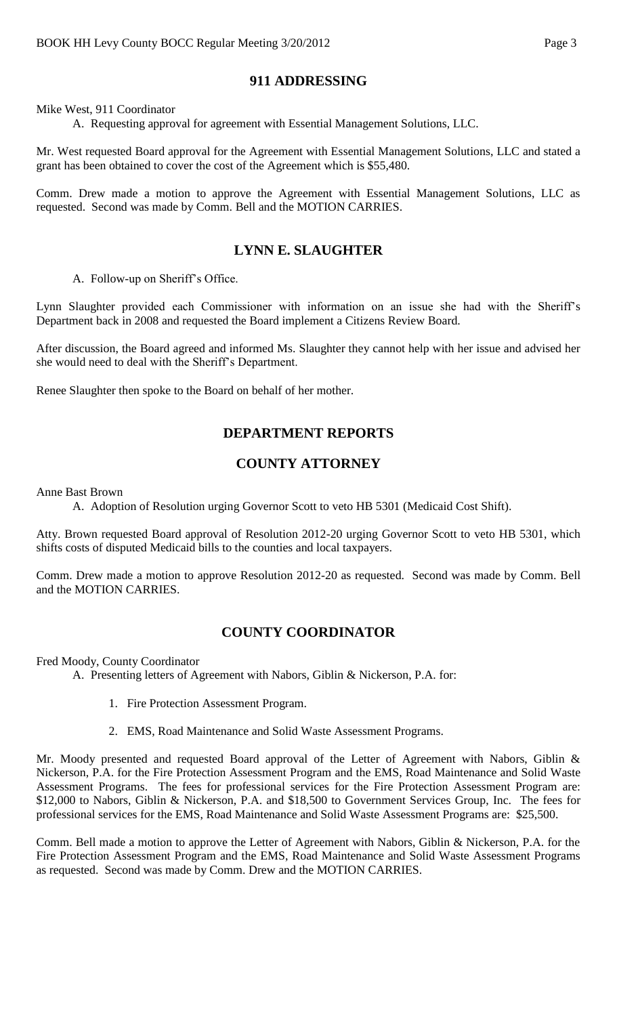## **911 ADDRESSING**

Mike West, 911 Coordinator

A. Requesting approval for agreement with Essential Management Solutions, LLC.

Mr. West requested Board approval for the Agreement with Essential Management Solutions, LLC and stated a grant has been obtained to cover the cost of the Agreement which is \$55,480.

Comm. Drew made a motion to approve the Agreement with Essential Management Solutions, LLC as requested. Second was made by Comm. Bell and the MOTION CARRIES.

# **LYNN E. SLAUGHTER**

A. Follow-up on Sheriff's Office.

Lynn Slaughter provided each Commissioner with information on an issue she had with the Sheriff's Department back in 2008 and requested the Board implement a Citizens Review Board.

After discussion, the Board agreed and informed Ms. Slaughter they cannot help with her issue and advised her she would need to deal with the Sheriff's Department.

Renee Slaughter then spoke to the Board on behalf of her mother.

## **DEPARTMENT REPORTS**

# **COUNTY ATTORNEY**

Anne Bast Brown

A. Adoption of Resolution urging Governor Scott to veto HB 5301 (Medicaid Cost Shift).

Atty. Brown requested Board approval of Resolution 2012-20 urging Governor Scott to veto HB 5301, which shifts costs of disputed Medicaid bills to the counties and local taxpayers.

Comm. Drew made a motion to approve Resolution 2012-20 as requested. Second was made by Comm. Bell and the MOTION CARRIES.

# **COUNTY COORDINATOR**

Fred Moody, County Coordinator

A. Presenting letters of Agreement with Nabors, Giblin & Nickerson, P.A. for:

- 1. Fire Protection Assessment Program.
- 2. EMS, Road Maintenance and Solid Waste Assessment Programs.

Mr. Moody presented and requested Board approval of the Letter of Agreement with Nabors, Giblin & Nickerson, P.A. for the Fire Protection Assessment Program and the EMS, Road Maintenance and Solid Waste Assessment Programs. The fees for professional services for the Fire Protection Assessment Program are: \$12,000 to Nabors, Giblin & Nickerson, P.A. and \$18,500 to Government Services Group, Inc. The fees for professional services for the EMS, Road Maintenance and Solid Waste Assessment Programs are: \$25,500.

Comm. Bell made a motion to approve the Letter of Agreement with Nabors, Giblin & Nickerson, P.A. for the Fire Protection Assessment Program and the EMS, Road Maintenance and Solid Waste Assessment Programs as requested. Second was made by Comm. Drew and the MOTION CARRIES.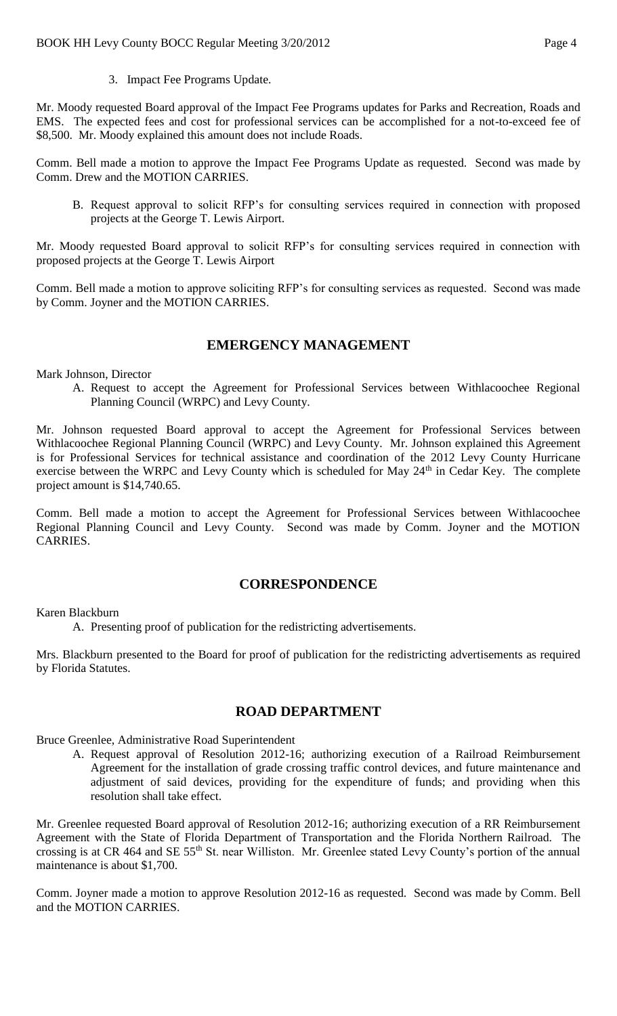3. Impact Fee Programs Update.

Mr. Moody requested Board approval of the Impact Fee Programs updates for Parks and Recreation, Roads and EMS. The expected fees and cost for professional services can be accomplished for a not-to-exceed fee of \$8,500. Mr. Moody explained this amount does not include Roads.

Comm. Bell made a motion to approve the Impact Fee Programs Update as requested. Second was made by Comm. Drew and the MOTION CARRIES.

B. Request approval to solicit RFP's for consulting services required in connection with proposed projects at the George T. Lewis Airport.

Mr. Moody requested Board approval to solicit RFP's for consulting services required in connection with proposed projects at the George T. Lewis Airport

Comm. Bell made a motion to approve soliciting RFP's for consulting services as requested. Second was made by Comm. Joyner and the MOTION CARRIES.

# **EMERGENCY MANAGEMENT**

Mark Johnson, Director

A. Request to accept the Agreement for Professional Services between Withlacoochee Regional Planning Council (WRPC) and Levy County.

Mr. Johnson requested Board approval to accept the Agreement for Professional Services between Withlacoochee Regional Planning Council (WRPC) and Levy County. Mr. Johnson explained this Agreement is for Professional Services for technical assistance and coordination of the 2012 Levy County Hurricane exercise between the WRPC and Levy County which is scheduled for May 24<sup>th</sup> in Cedar Key. The complete project amount is \$14,740.65.

Comm. Bell made a motion to accept the Agreement for Professional Services between Withlacoochee Regional Planning Council and Levy County. Second was made by Comm. Joyner and the MOTION CARRIES.

## **CORRESPONDENCE**

Karen Blackburn

A. Presenting proof of publication for the redistricting advertisements.

Mrs. Blackburn presented to the Board for proof of publication for the redistricting advertisements as required by Florida Statutes.

### **ROAD DEPARTMENT**

Bruce Greenlee, Administrative Road Superintendent

A. Request approval of Resolution 2012-16; authorizing execution of a Railroad Reimbursement Agreement for the installation of grade crossing traffic control devices, and future maintenance and adjustment of said devices, providing for the expenditure of funds; and providing when this resolution shall take effect.

Mr. Greenlee requested Board approval of Resolution 2012-16; authorizing execution of a RR Reimbursement Agreement with the State of Florida Department of Transportation and the Florida Northern Railroad. The crossing is at CR 464 and SE 55th St. near Williston. Mr. Greenlee stated Levy County's portion of the annual maintenance is about \$1,700.

Comm. Joyner made a motion to approve Resolution 2012-16 as requested. Second was made by Comm. Bell and the MOTION CARRIES.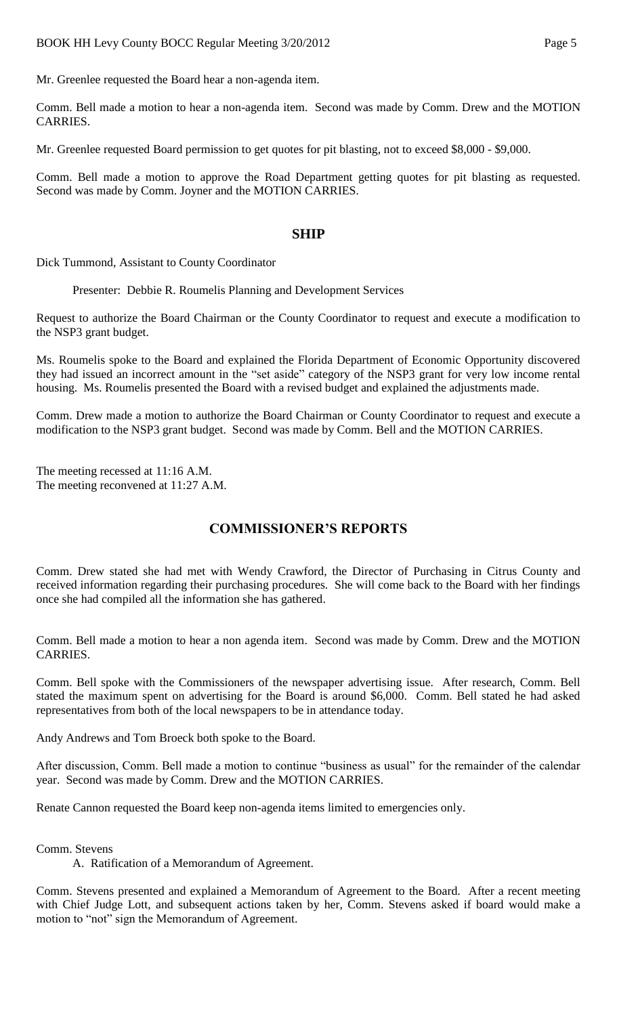Mr. Greenlee requested the Board hear a non-agenda item.

Comm. Bell made a motion to hear a non-agenda item. Second was made by Comm. Drew and the MOTION CARRIES.

Mr. Greenlee requested Board permission to get quotes for pit blasting, not to exceed \$8,000 - \$9,000.

Comm. Bell made a motion to approve the Road Department getting quotes for pit blasting as requested. Second was made by Comm. Joyner and the MOTION CARRIES.

### **SHIP**

Dick Tummond, Assistant to County Coordinator

Presenter: Debbie R. Roumelis Planning and Development Services

Request to authorize the Board Chairman or the County Coordinator to request and execute a modification to the NSP3 grant budget.

Ms. Roumelis spoke to the Board and explained the Florida Department of Economic Opportunity discovered they had issued an incorrect amount in the "set aside" category of the NSP3 grant for very low income rental housing. Ms. Roumelis presented the Board with a revised budget and explained the adjustments made.

Comm. Drew made a motion to authorize the Board Chairman or County Coordinator to request and execute a modification to the NSP3 grant budget. Second was made by Comm. Bell and the MOTION CARRIES.

The meeting recessed at 11:16 A.M. The meeting reconvened at 11:27 A.M.

# **COMMISSIONER'S REPORTS**

Comm. Drew stated she had met with Wendy Crawford, the Director of Purchasing in Citrus County and received information regarding their purchasing procedures. She will come back to the Board with her findings once she had compiled all the information she has gathered.

Comm. Bell made a motion to hear a non agenda item. Second was made by Comm. Drew and the MOTION CARRIES.

Comm. Bell spoke with the Commissioners of the newspaper advertising issue. After research, Comm. Bell stated the maximum spent on advertising for the Board is around \$6,000. Comm. Bell stated he had asked representatives from both of the local newspapers to be in attendance today.

Andy Andrews and Tom Broeck both spoke to the Board.

After discussion, Comm. Bell made a motion to continue "business as usual" for the remainder of the calendar year. Second was made by Comm. Drew and the MOTION CARRIES.

Renate Cannon requested the Board keep non-agenda items limited to emergencies only.

Comm. Stevens

A. Ratification of a Memorandum of Agreement.

Comm. Stevens presented and explained a Memorandum of Agreement to the Board. After a recent meeting with Chief Judge Lott, and subsequent actions taken by her, Comm. Stevens asked if board would make a motion to "not" sign the Memorandum of Agreement.